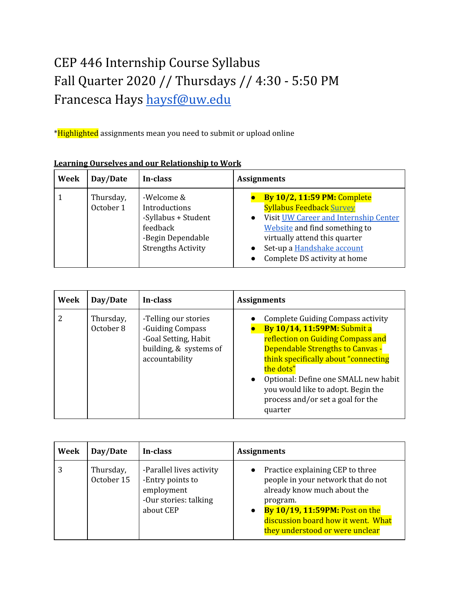# CEP 446 Internship Course Syllabus Fall Quarter 2020 // Thursdays // 4:30 - 5:50 PM Francesca Hays [haysf@uw.edu](mailto:haysf@uw.edu)

\*Highlighted assignments mean you need to submit or upload online

| Week | Day/Date               | In-class                                                                                                         | <b>Assignments</b>                                                                                                                                                                                                                                          |
|------|------------------------|------------------------------------------------------------------------------------------------------------------|-------------------------------------------------------------------------------------------------------------------------------------------------------------------------------------------------------------------------------------------------------------|
|      | Thursday,<br>October 1 | -Welcome &<br>Introductions<br>-Syllabus + Student<br>feedback<br>-Begin Dependable<br><b>Strengths Activity</b> | <b>By 10/2, 11:59 PM: Complete</b><br><b>Syllabus Feedback Survey</b><br>Visit UW Career and Internship Center<br>$\bullet$<br>Website and find something to<br>virtually attend this quarter<br>Set-up a Handshake account<br>Complete DS activity at home |

#### **Learning Ourselves and our Relationship to Work**

| Week | Day/Date               | In-class                                                                                                     | <b>Assignments</b>                                                                                                                                                                                                                                                                                                                                              |
|------|------------------------|--------------------------------------------------------------------------------------------------------------|-----------------------------------------------------------------------------------------------------------------------------------------------------------------------------------------------------------------------------------------------------------------------------------------------------------------------------------------------------------------|
| 2    | Thursday,<br>October 8 | -Telling our stories<br>-Guiding Compass<br>-Goal Setting, Habit<br>building, & systems of<br>accountability | <b>Complete Guiding Compass activity</b><br><b>By 10/14, 11:59PM: Submit a</b><br>reflection on Guiding Compass and<br><b>Dependable Strengths to Canvas -</b><br>think specifically about "connecting"<br>the dots"<br>Optional: Define one SMALL new habit<br>$\bullet$<br>you would like to adopt. Begin the<br>process and/or set a goal for the<br>quarter |

| Week | Day/Date                | In-class                                                                                         | <b>Assignments</b>                                                                                                                                                                                                           |
|------|-------------------------|--------------------------------------------------------------------------------------------------|------------------------------------------------------------------------------------------------------------------------------------------------------------------------------------------------------------------------------|
| 3    | Thursday,<br>October 15 | -Parallel lives activity<br>-Entry points to<br>employment<br>-Our stories: talking<br>about CEP | Practice explaining CEP to three<br>people in your network that do not<br>already know much about the<br>program.<br>By 10/19, 11:59PM: Post on the<br>discussion board how it went. What<br>they understood or were unclear |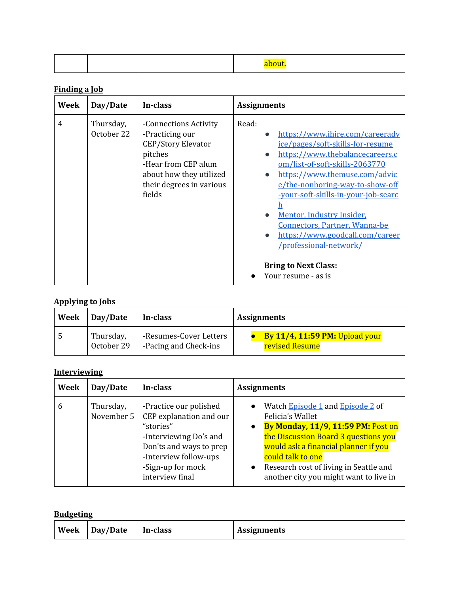### **Finding a Job**

| Week           | Day/Date                | In-class                                                                                                                                                          | <b>Assignments</b>                                                                                                                                                                                                                                                                                                                                                                                                                                                                                |
|----------------|-------------------------|-------------------------------------------------------------------------------------------------------------------------------------------------------------------|---------------------------------------------------------------------------------------------------------------------------------------------------------------------------------------------------------------------------------------------------------------------------------------------------------------------------------------------------------------------------------------------------------------------------------------------------------------------------------------------------|
| $\overline{4}$ | Thursday,<br>October 22 | -Connections Activity<br>-Practicing our<br>CEP/Story Elevator<br>pitches<br>-Hear from CEP alum<br>about how they utilized<br>their degrees in various<br>fields | Read:<br>https://www.ihire.com/careerady<br>$\bullet$<br>ice/pages/soft-skills-for-resume<br>https://www.thebalancecareers.c<br>$\bullet$<br>om/list-of-soft-skills-2063770<br>https://www.themuse.com/advic<br>$\bullet$<br>e/the-nonboring-way-to-show-off<br>-your-soft-skills-in-your-job-searc<br>Mentor, Industry Insider,<br>Connectors, Partner, Wanna-be<br>https://www.goodcall.com/career<br>$\bullet$<br>/professional-network/<br><b>Bring to Next Class:</b><br>Your resume - as is |

#### **Applying to Jobs**

| Week   Day/Date | In-class               | <b>Assignments</b>                    |
|-----------------|------------------------|---------------------------------------|
| Thursday,       | -Resumes-Cover Letters | <b>By 11/4, 11:59 PM: Upload your</b> |
| October 29      | -Pacing and Check-ins  | revised Resume                        |

#### **Interviewing**

| Week | Day/Date                | In-class                                                                                                                                                                             | <b>Assignments</b>                                                                                                                                                                                                                                                                                                         |
|------|-------------------------|--------------------------------------------------------------------------------------------------------------------------------------------------------------------------------------|----------------------------------------------------------------------------------------------------------------------------------------------------------------------------------------------------------------------------------------------------------------------------------------------------------------------------|
| 6    | Thursday,<br>November 5 | -Practice our polished<br>CEP explanation and our<br>"stories"<br>-Interviewing Do's and<br>Don'ts and ways to prep<br>-Interview follow-ups<br>-Sign-up for mock<br>interview final | Watch Episode 1 and Episode 2 of<br>$\bullet$<br>Felicia's Wallet<br>By Monday, 11/9, 11:59 PM: Post on<br>$\bullet$<br>the Discussion Board 3 questions you<br>would ask a financial planner if you<br>could talk to one<br>Research cost of living in Seattle and<br>$\bullet$<br>another city you might want to live in |

#### **Budgeting**

| Week | Day/Date | In-class | <b>Assignments</b> |
|------|----------|----------|--------------------|
|------|----------|----------|--------------------|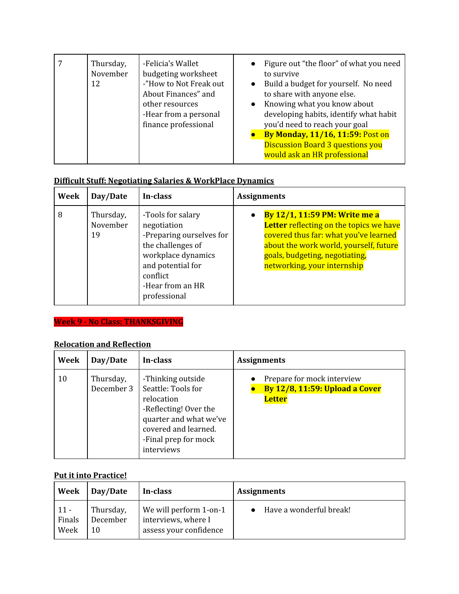|  | Thursday,<br>November<br>12 | -Felicia's Wallet<br>budgeting worksheet<br>-"How to Not Freak out<br>About Finances" and<br>other resources<br>-Hear from a personal<br>finance professional | Figure out "the floor" of what you need<br>$\bullet$<br>to survive<br>Build a budget for yourself. No need<br>$\bullet$<br>to share with anyone else.<br>Knowing what you know about<br>$\bullet$<br>developing habits, identify what habit<br>you'd need to reach your goal<br>By Monday, 11/16, 11:59: Post on<br><b>Discussion Board 3 questions you</b><br>would ask an HR professional |
|--|-----------------------------|---------------------------------------------------------------------------------------------------------------------------------------------------------------|---------------------------------------------------------------------------------------------------------------------------------------------------------------------------------------------------------------------------------------------------------------------------------------------------------------------------------------------------------------------------------------------|
|--|-----------------------------|---------------------------------------------------------------------------------------------------------------------------------------------------------------|---------------------------------------------------------------------------------------------------------------------------------------------------------------------------------------------------------------------------------------------------------------------------------------------------------------------------------------------------------------------------------------------|

#### **Difficult Stuff: Negotiating Salaries & WorkPlace Dynamics**

| Week | Day/Date                    | In-class                                                                                                                                                                     | <b>Assignments</b>                                                                                                                                                                                                                               |
|------|-----------------------------|------------------------------------------------------------------------------------------------------------------------------------------------------------------------------|--------------------------------------------------------------------------------------------------------------------------------------------------------------------------------------------------------------------------------------------------|
| 8    | Thursday,<br>November<br>19 | -Tools for salary<br>negotiation<br>-Preparing ourselves for<br>the challenges of<br>workplace dynamics<br>and potential for<br>conflict<br>-Hear from an HR<br>professional | <b>By 12/1, 11:59 PM: Write me a</b><br>$\bullet$<br>Letter reflecting on the topics we have<br>covered thus far: what you've learned<br>about the work world, yourself, future<br>goals, budgeting, negotiating,<br>networking, your internship |

## **Week 9 - No Class: THANKSGIVING**

#### **Relocation and Reflection**

| Week | Day/Date                | In-class                                                                                                                                                               | <b>Assignments</b>                                                                   |
|------|-------------------------|------------------------------------------------------------------------------------------------------------------------------------------------------------------------|--------------------------------------------------------------------------------------|
| 10   | Thursday,<br>December 3 | -Thinking outside<br>Seattle: Tools for<br>relocation<br>-Reflecting! Over the<br>quarter and what we've<br>covered and learned.<br>-Final prep for mock<br>interviews | Prepare for mock interview<br><b>By 12/8, 11:59: Upload a Cover</b><br><b>Letter</b> |

#### **Put it into Practice!**

| Week   | Day/Date  | In-class               | <b>Assignments</b>      |
|--------|-----------|------------------------|-------------------------|
| $11 -$ | Thursday, | We will perform 1-on-1 | Have a wonderful break! |
| Finals | December  | interviews, where I    |                         |
| Week   | 10        | assess your confidence |                         |